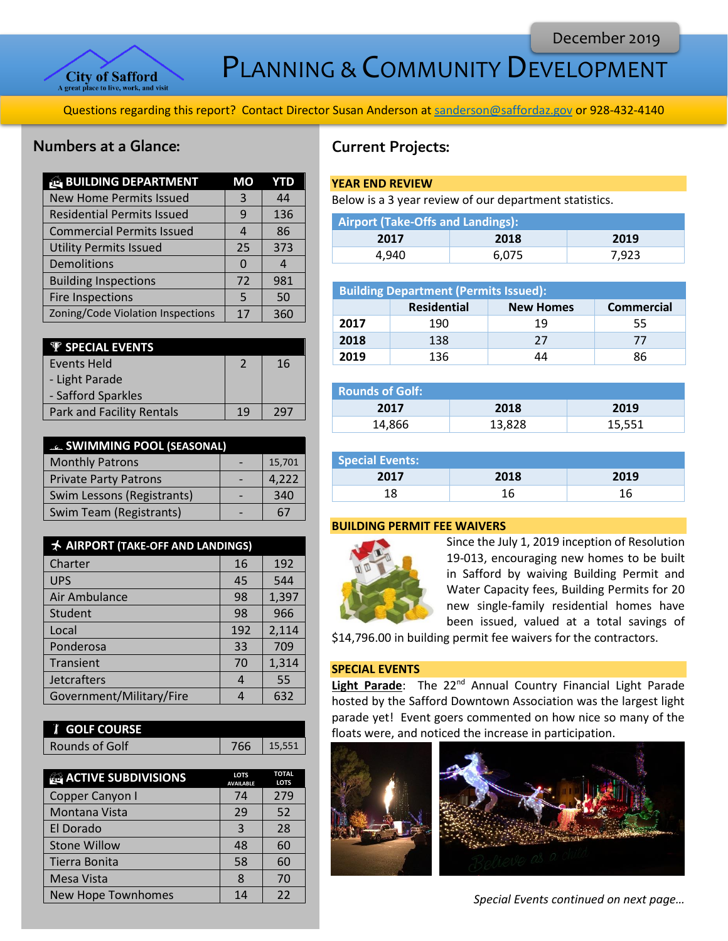

PLANNING & COMMUNITY DEVELOPMENT

Questions regarding this report? Contact Director Susan Anderson a[t sanderson@saffordaz.gov](mailto:sanderson@saffordaz.gov) or 928-432-4140

## Numbers at a Glance:

| <b>BUILDING DEPARTMENT</b>        | MО       | YTD |
|-----------------------------------|----------|-----|
| <b>New Home Permits Issued</b>    | 3        | 44  |
| <b>Residential Permits Issued</b> | 9        | 136 |
| <b>Commercial Permits Issued</b>  | 4        | 86  |
| <b>Utility Permits Issued</b>     | 25       | 373 |
| Demolitions                       | $\Omega$ | 4   |
| <b>Building Inspections</b>       | 72       | 981 |
| <b>Fire Inspections</b>           | .5       | 50  |
| Zoning/Code Violation Inspections | 17       | 360 |

| <b>W</b> SPECIAL EVENTS          |    |     |
|----------------------------------|----|-----|
| Events Held                      | 2  | 16  |
| - Light Parade                   |    |     |
| - Safford Sparkles               |    |     |
| <b>Park and Facility Rentals</b> | 19 | วดร |

| <b>EL SWIMMING POOL (SEASONAL)</b> |  |        |
|------------------------------------|--|--------|
| <b>Monthly Patrons</b>             |  | 15,701 |
| <b>Private Party Patrons</b>       |  | 4,222  |
| Swim Lessons (Registrants)         |  | 340    |
| Swim Team (Registrants)            |  | 67     |

| <b>★ AIRPORT (TAKE-OFF AND LANDINGS)</b> |     |       |
|------------------------------------------|-----|-------|
| Charter                                  | 16  | 192   |
| <b>UPS</b>                               | 45  | 544   |
| Air Ambulance                            | 98  | 1,397 |
| Student                                  | 98  | 966   |
| Local                                    | 192 | 2,114 |
| Ponderosa                                | 33  | 709   |
| Transient                                | 70  | 1,314 |
| Jetcrafters                              | 4   | 55    |
| Government/Military/Fire                 |     | 632   |

| <b>T</b> GOLF COURSE |     |        |
|----------------------|-----|--------|
| Rounds of Golf       | 766 | 15.551 |

| <b>ACTIVE SUBDIVISIONS</b> | <b>LOTS</b><br><b>AVAILABLE</b> | <b>TOTAL</b><br><b>LOTS</b> |
|----------------------------|---------------------------------|-----------------------------|
| Copper Canyon I            | 74                              | 279                         |
| Montana Vista              | 29                              | 52                          |
| El Dorado                  | 3                               | 28                          |
| <b>Stone Willow</b>        | 48                              | 60                          |
| Tierra Bonita              | 58                              | 60                          |
| Mesa Vista                 | 8                               | 70                          |
| New Hope Townhomes         | 14                              | 22                          |

# Current Projects:

## **YEAR END REVIEW**

Below is a 3 year review of our department statistics.

| Airport (Take-Offs and Landings): |       |       |  |
|-----------------------------------|-------|-------|--|
| 2017                              | 2018  | 2019  |  |
| 4.940                             | 6.075 | 7.923 |  |

| <b>Building Department (Permits Issued):</b> |                    |                  |                   |
|----------------------------------------------|--------------------|------------------|-------------------|
|                                              | <b>Residential</b> | <b>New Homes</b> | <b>Commercial</b> |
| 2017                                         | 190                | 19               | 55                |
| 2018                                         | 138                | 27               | 77                |
| 2019                                         | 136                | 44               | 86                |

| <b>Rounds of Golf:</b> |        |        |
|------------------------|--------|--------|
| 2017                   | 2018   | 2019   |
| 14,866                 | 13,828 | 15,551 |

| <b>Special Events:</b> |      |      |
|------------------------|------|------|
| 2017                   | 2018 | 2019 |
| 1 Q                    |      |      |

## **BUILDING PERMIT FEE WAIVERS**



Since the July 1, 2019 inception of Resolution 19-013, encouraging new homes to be built in Safford by waiving Building Permit and Water Capacity fees, Building Permits for 20 new single-family residential homes have been issued, valued at a total savings of

\$14,796.00 in building permit fee waivers for the contractors.

## **SPECIAL EVENTS**

Light Parade: The 22<sup>nd</sup> Annual Country Financial Light Parade hosted by the Safford Downtown Association was the largest light parade yet! Event goers commented on how nice so many of the floats were, and noticed the increase in participation.



*Special Events continued on next page…*